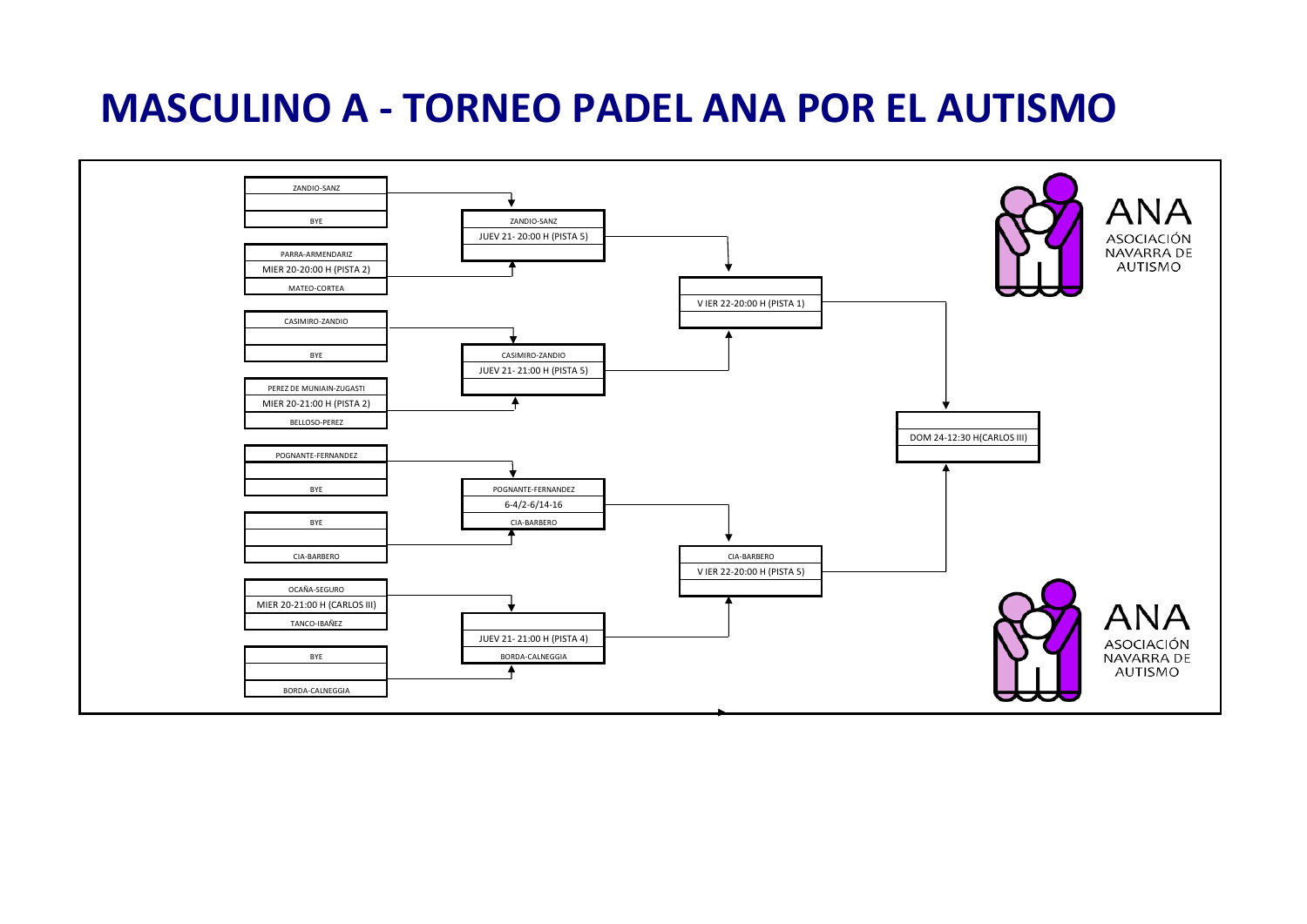### **MASCULINO A - TORNEO PADEL ANA POR EL AUTISMO**

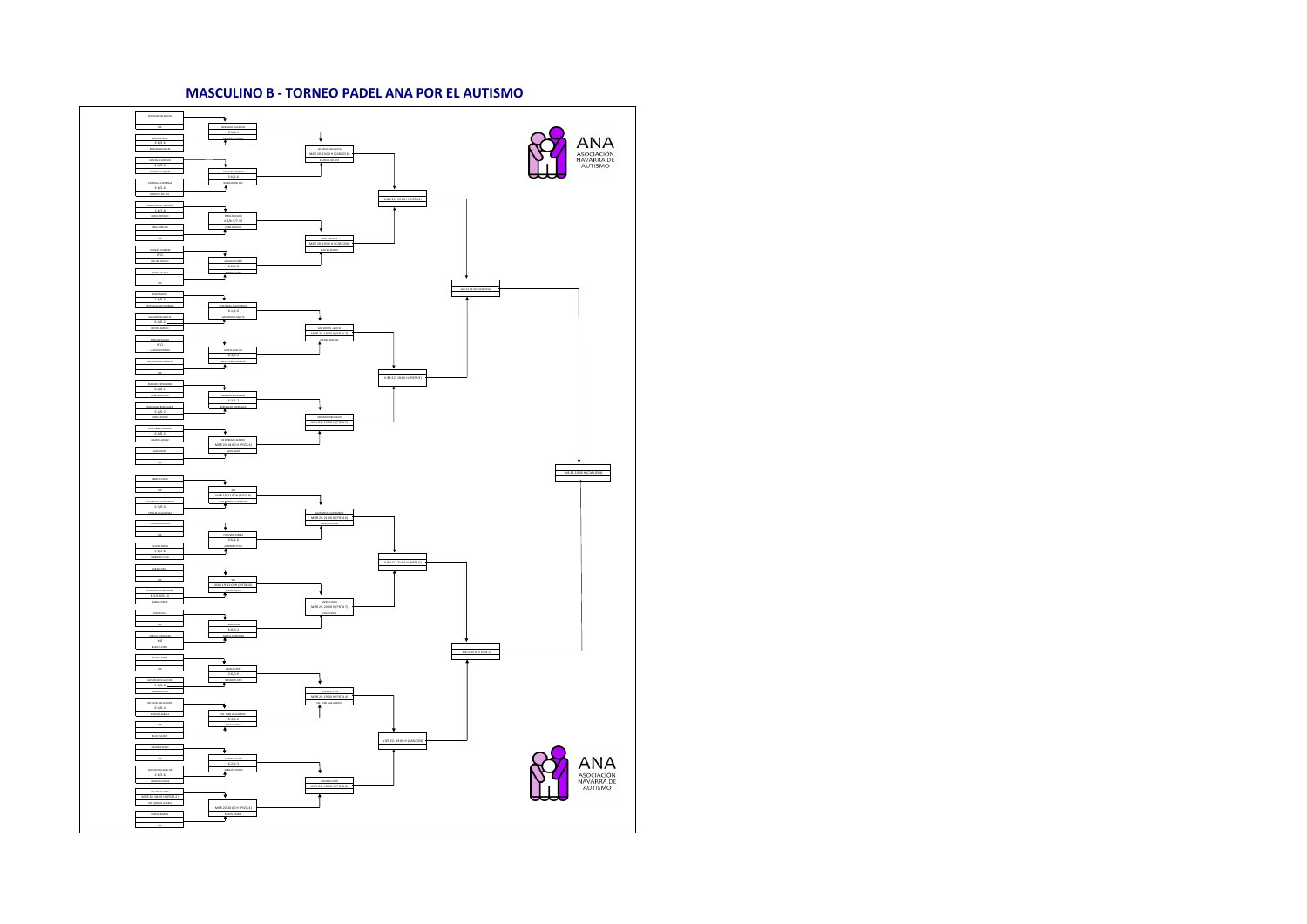#### **MASCULINO B - TORNEO PADEL ANA POR EL AUTISMO**

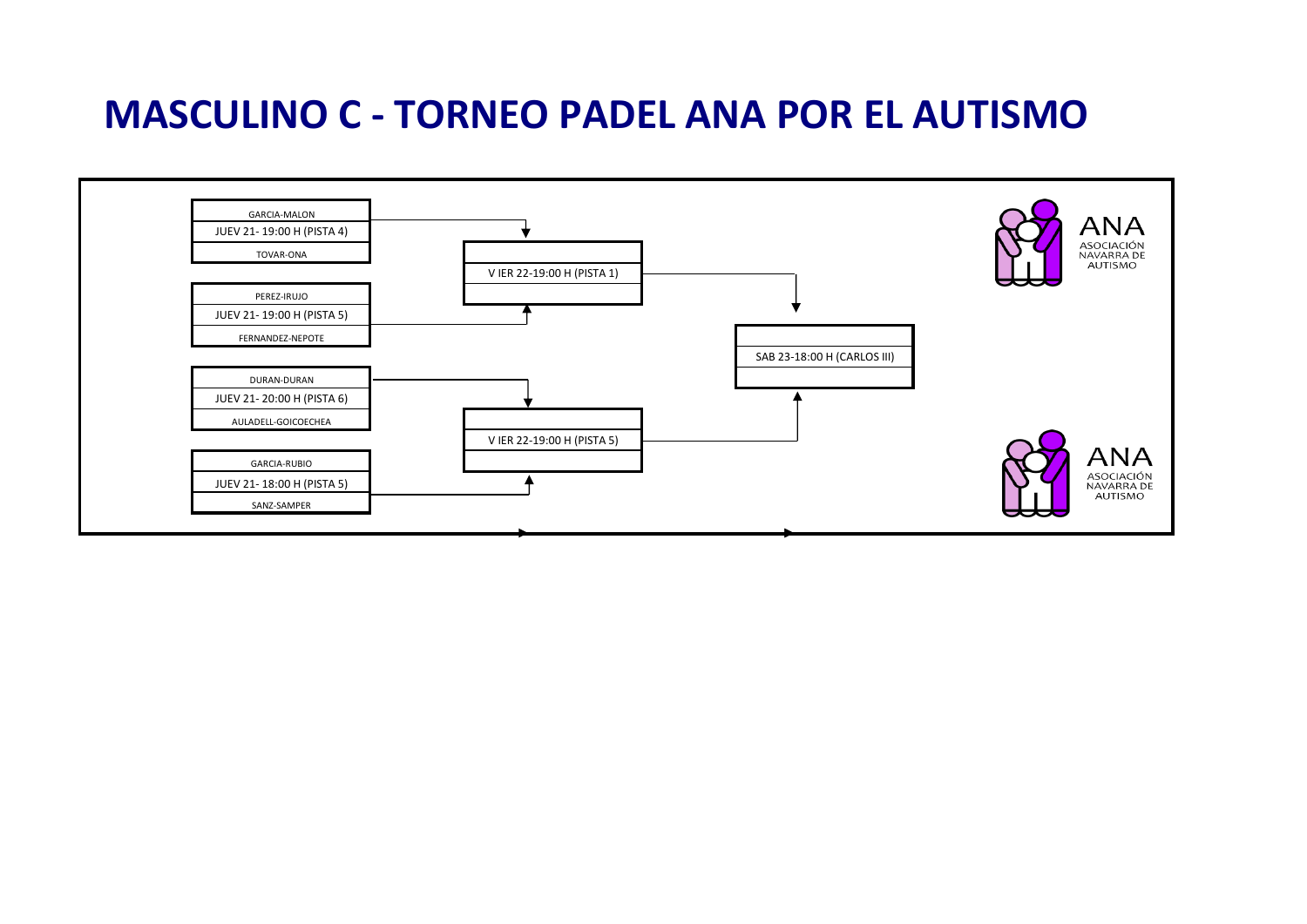### **MASCULINO C - TORNEO PADEL ANA POR EL AUTISMO**

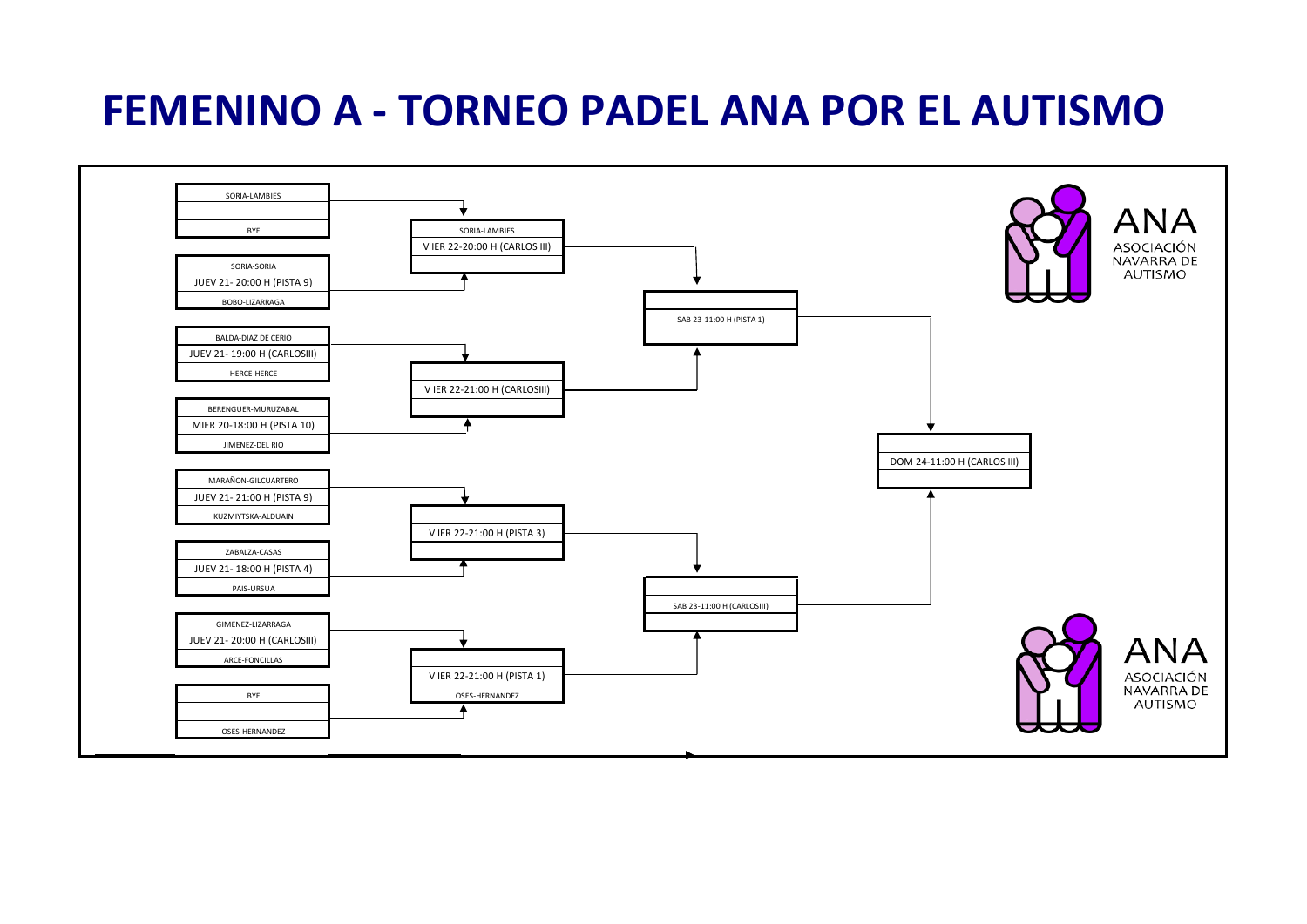# **FEMENINO A - TORNEO PADEL ANA POR EL AUTISMO**

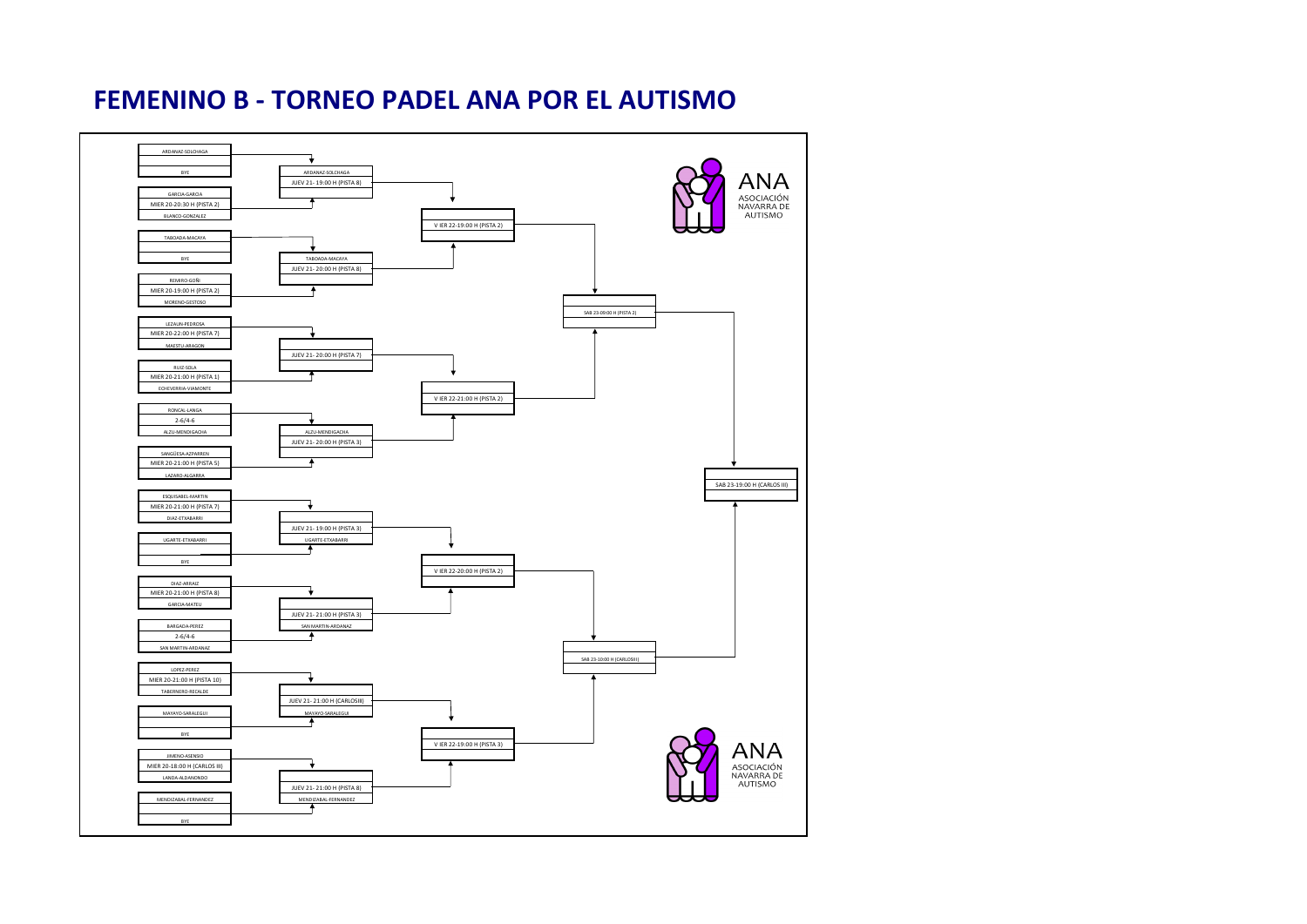### **FEMENINO B - TORNEO PADEL ANA POR EL AUTISMO**

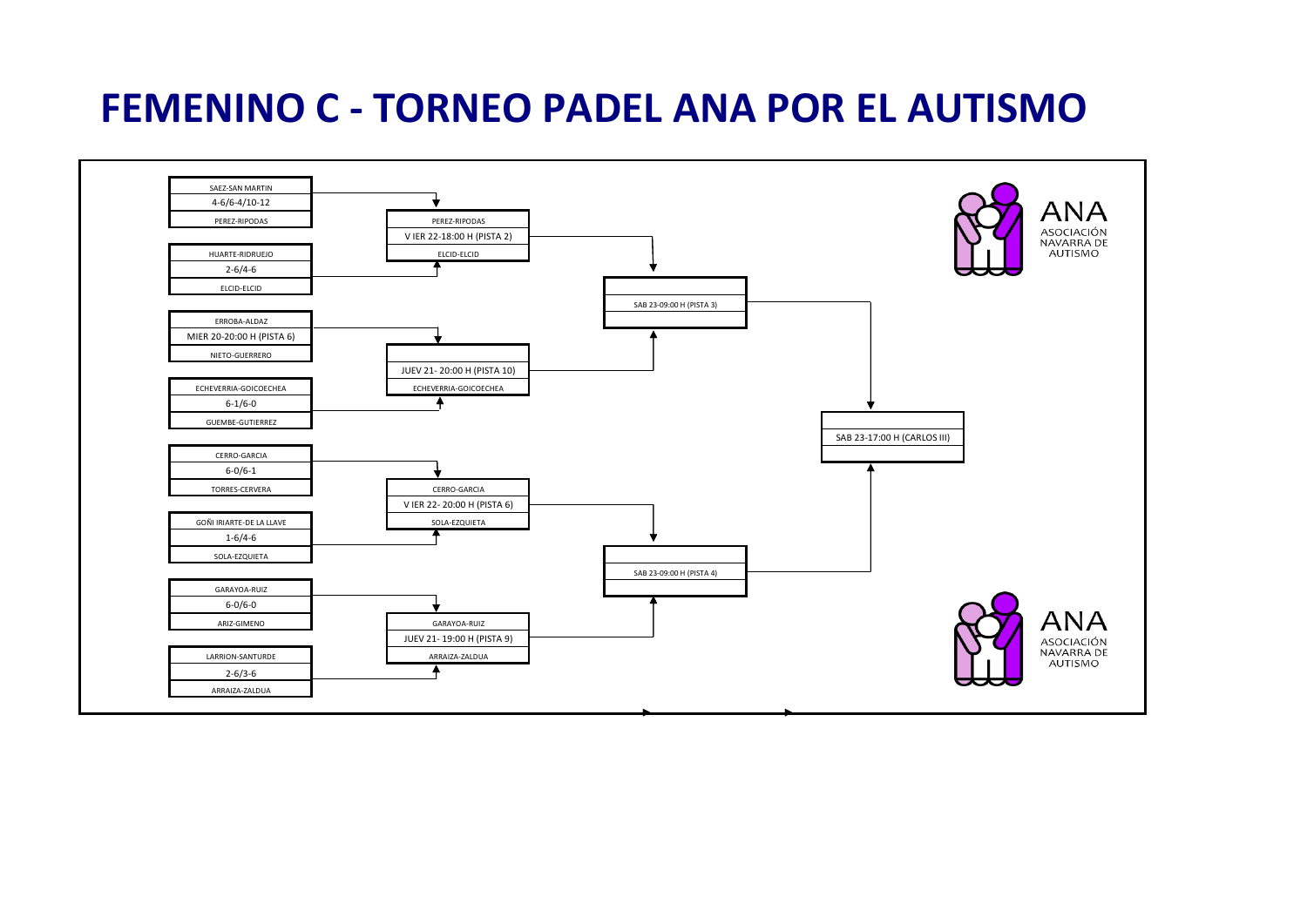## **FEMENINO C - TORNEO PADEL ANA POR EL AUTISMO**

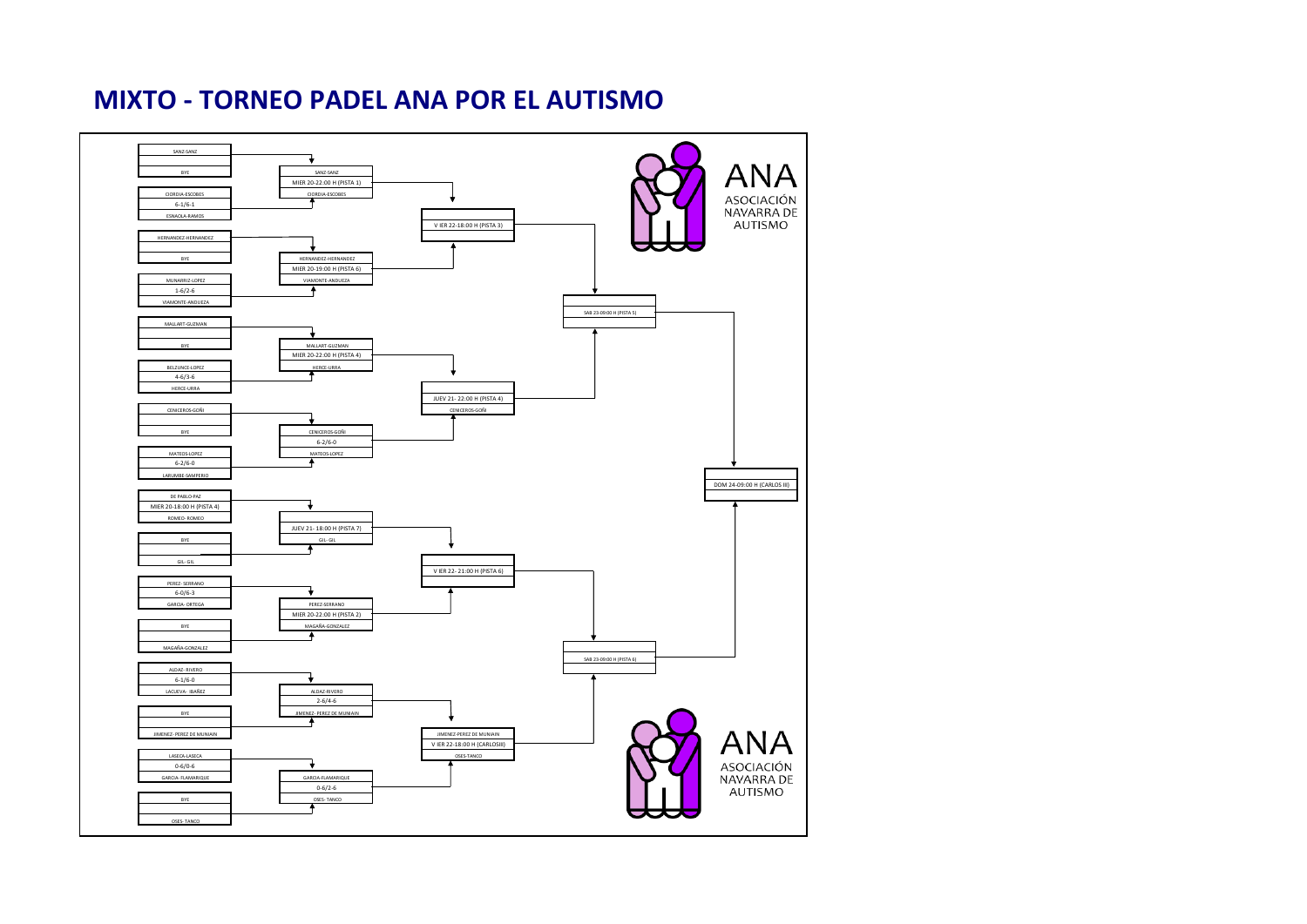### **MIXTO - TORNEO PADEL ANA POR EL AUTISMO**